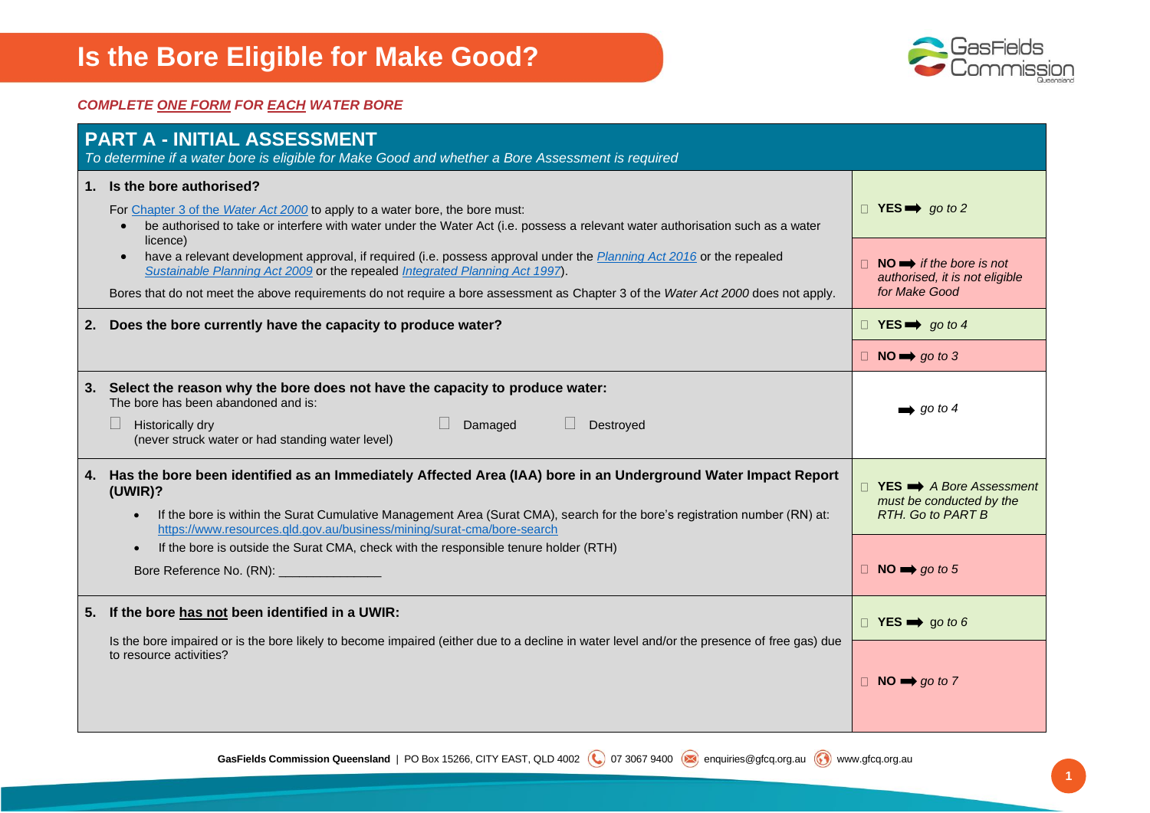

#### *COMPLETE ONE FORM FOR EACH WATER BORE*

| <b>PART A - INITIAL ASSESSMENT</b><br>To determine if a water bore is eligible for Make Good and whether a Bore Assessment is required                                                                                                                                                                                                                                                                                                                                                |                                                                                                                                 |
|---------------------------------------------------------------------------------------------------------------------------------------------------------------------------------------------------------------------------------------------------------------------------------------------------------------------------------------------------------------------------------------------------------------------------------------------------------------------------------------|---------------------------------------------------------------------------------------------------------------------------------|
| 1. Is the bore authorised?<br>For Chapter 3 of the Water Act 2000 to apply to a water bore, the bore must:<br>be authorised to take or interfere with water under the Water Act (i.e. possess a relevant water authorisation such as a water                                                                                                                                                                                                                                          | $\Box$ YES $\Rightarrow$ go to 2                                                                                                |
| licence)<br>have a relevant development approval, if required (i.e. possess approval under the Planning Act 2016 or the repealed<br>Sustainable Planning Act 2009 or the repealed Integrated Planning Act 1997).<br>Bores that do not meet the above requirements do not require a bore assessment as Chapter 3 of the Water Act 2000 does not apply.                                                                                                                                 | $NO \implies$ if the bore is not<br>authorised, it is not eligible<br>for Make Good                                             |
| 2. Does the bore currently have the capacity to produce water?                                                                                                                                                                                                                                                                                                                                                                                                                        | $\Box$ YES $\Rightarrow$ go to 4                                                                                                |
|                                                                                                                                                                                                                                                                                                                                                                                                                                                                                       | $\Box$ NO $\rightarrow$ go to 3                                                                                                 |
| 3. Select the reason why the bore does not have the capacity to produce water:<br>The bore has been abandoned and is:<br>Destroyed<br>Historically dry<br>Damaged<br>(never struck water or had standing water level)                                                                                                                                                                                                                                                                 | $\rightarrow$ go to 4                                                                                                           |
| 4. Has the bore been identified as an Immediately Affected Area (IAA) bore in an Underground Water Impact Report<br>(UWIR)?<br>If the bore is within the Surat Cumulative Management Area (Surat CMA), search for the bore's registration number (RN) at:<br>https://www.resources.gld.gov.au/business/mining/surat-cma/bore-search<br>If the bore is outside the Surat CMA, check with the responsible tenure holder (RTH)<br>$\bullet$<br>Bore Reference No. (RN): ________________ | $\Box$ YES $\implies$ A Bore Assessment<br>must be conducted by the<br><b>RTH.</b> Go to PART B<br>$\Box$ NO $\implies$ go to 5 |
| 5. If the bore has not been identified in a UWIR:<br>Is the bore impaired or is the bore likely to become impaired (either due to a decline in water level and/or the presence of free gas) due<br>to resource activities?                                                                                                                                                                                                                                                            | $\Box$ YES $\implies$ go to 6<br>$\Box$ NO $\rightarrow$ go to 7                                                                |

GasFields Commission Queensland | PO Box 15266, CITY EAST, QLD 4002 (Q) 07 3067 9400 enquiries@gfcq.org.au (c) www.gfcq.org.au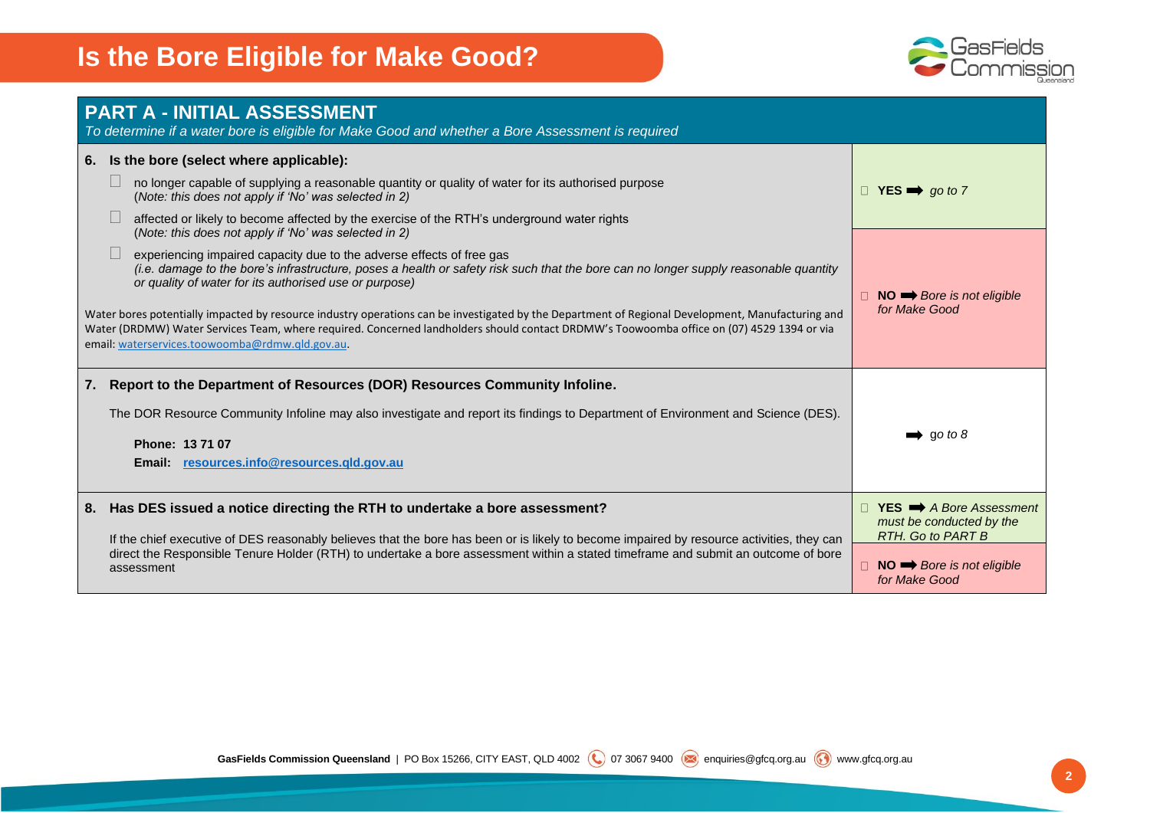

| <b>PART A - INITIAL ASSESSMENT</b><br>To determine if a water bore is eligible for Make Good and whether a Bore Assessment is required                                                                                                                                                                                                                                                                                                                                                                                                                                                                                                                                                                                                                                                                                                                                                                                                                                                            |                                                                                                                                                                     |
|---------------------------------------------------------------------------------------------------------------------------------------------------------------------------------------------------------------------------------------------------------------------------------------------------------------------------------------------------------------------------------------------------------------------------------------------------------------------------------------------------------------------------------------------------------------------------------------------------------------------------------------------------------------------------------------------------------------------------------------------------------------------------------------------------------------------------------------------------------------------------------------------------------------------------------------------------------------------------------------------------|---------------------------------------------------------------------------------------------------------------------------------------------------------------------|
| 6. Is the bore (select where applicable):<br>no longer capable of supplying a reasonable quantity or quality of water for its authorised purpose<br>(Note: this does not apply if 'No' was selected in 2)<br>affected or likely to become affected by the exercise of the RTH's underground water rights<br>(Note: this does not apply if 'No' was selected in 2)<br>experiencing impaired capacity due to the adverse effects of free gas<br>(i.e. damage to the bore's infrastructure, poses a health or safety risk such that the bore can no longer supply reasonable quantity<br>or quality of water for its authorised use or purpose)<br>Water bores potentially impacted by resource industry operations can be investigated by the Department of Regional Development, Manufacturing and<br>Water (DRDMW) Water Services Team, where required. Concerned landholders should contact DRDMW's Toowoomba office on (07) 4529 1394 or via<br>email: waterservices.toowoomba@rdmw.qld.gov.au. | $\Box$ YES $\implies$ go to 7<br>$NO \implies Bore$ is not eligible<br>for Make Good                                                                                |
| Report to the Department of Resources (DOR) Resources Community Infoline.<br>7.<br>The DOR Resource Community Infoline may also investigate and report its findings to Department of Environment and Science (DES).<br>Phone: 13 71 07<br>Email: resources.info@resources.gld.gov.au                                                                                                                                                                                                                                                                                                                                                                                                                                                                                                                                                                                                                                                                                                              | $\rightarrow$ go to 8                                                                                                                                               |
| Has DES issued a notice directing the RTH to undertake a bore assessment?<br>8.<br>If the chief executive of DES reasonably believes that the bore has been or is likely to become impaired by resource activities, they can<br>direct the Responsible Tenure Holder (RTH) to undertake a bore assessment within a stated timeframe and submit an outcome of bore<br>assessment                                                                                                                                                                                                                                                                                                                                                                                                                                                                                                                                                                                                                   | <b>YES</b> $\rightarrow$ A Bore Assessment<br>must be conducted by the<br><b>RTH.</b> Go to PART B<br>$\Box$ NO $\rightarrow$ Bore is not eligible<br>for Make Good |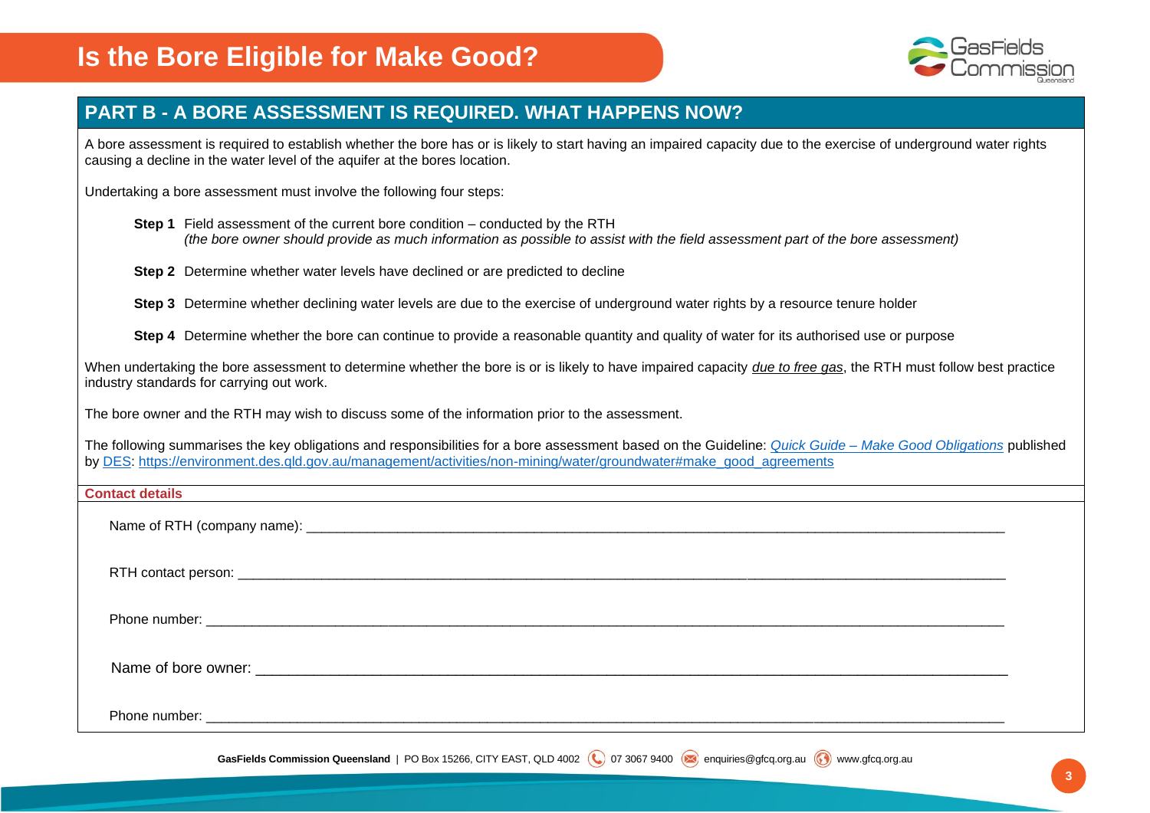

#### **PART B - A BORE ASSESSMENT IS REQUIRED. WHAT HAPPENS NOW?**

A bore assessment is required to establish whether the bore has or is likely to start having an impaired capacity due to the exercise of underground water rights causing a decline in the water level of the aquifer at the bores location.

Undertaking a bore assessment must involve the following four steps:

**Step 1** Field assessment of the current bore condition – conducted by the RTH *(the bore owner should provide as much information as possible to assist with the field assessment part of the bore assessment)*

**Step 2** Determine whether water levels have declined or are predicted to decline

**Step 3** Determine whether declining water levels are due to the exercise of underground water rights by a resource tenure holder

**Step 4** Determine whether the bore can continue to provide a reasonable quantity and quality of water for its authorised use or purpose

When undertaking the bore assessment to determine whether the bore is or is likely to have impaired capacity *due to free gas*, the RTH must follow best practice industry standards for carrying out work.

The bore owner and the RTH may wish to discuss some of the information prior to the assessment.

The following summarises the key obligations and responsibilities for a bore assessment based on the Guideline: *Quick Guide – [Make Good Obligations](https://environment.des.qld.gov.au/__data/assets/pdf_file/0035/89396/rs-gl-make-good-obligations-guide.pdf)* published by [DES: https://environment.des.qld.gov.au/management/activities/non-mining/water/groundwater#make\\_good\\_agreements](https://environment.des.qld.gov.au/management/activities/non-mining/water/groundwater#make_good_agreements)

#### **Contact details**

Name of RTH (company name):  $\Box$ 

RTH contact person: **Example 20** and  $\overline{E}$  and  $\overline{E}$  and  $\overline{E}$  and  $\overline{E}$  and  $\overline{E}$  and  $\overline{E}$  and  $\overline{E}$  and  $\overline{E}$  and  $\overline{E}$  and  $\overline{E}$  and  $\overline{E}$  and  $\overline{E}$  and  $\overline{E}$  and  $\overline{E}$  and  $\over$ 

Phone number: \_\_\_\_\_\_\_\_\_\_\_\_\_\_\_\_\_\_\_\_\_\_\_\_\_\_\_\_\_\_\_\_\_\_\_\_\_\_\_\_\_\_\_\_\_\_\_\_\_\_\_\_\_\_\_\_\_\_\_\_\_\_\_\_\_\_\_\_\_\_\_\_\_\_\_\_\_\_\_\_\_\_\_\_\_\_\_\_\_\_\_\_\_\_\_\_\_\_\_\_\_\_\_\_\_

Name of bore owner: \_\_\_\_\_\_\_\_\_\_\_\_\_\_\_\_\_\_\_\_\_\_\_\_\_\_\_\_\_\_\_\_\_\_\_\_\_\_\_\_\_\_\_\_\_\_\_\_\_\_\_\_\_\_\_\_\_\_\_\_\_\_\_\_\_\_\_\_\_\_\_\_\_\_\_\_\_\_\_\_\_\_\_\_\_\_\_\_\_\_

Phone number: \_\_\_\_\_\_\_\_\_\_\_\_\_\_\_\_\_\_\_\_\_\_\_\_\_\_\_\_\_\_\_\_\_\_\_\_\_\_\_\_\_\_\_\_\_\_\_\_\_\_\_\_\_\_\_\_\_\_\_\_\_\_\_\_\_\_\_\_\_\_\_\_\_\_\_\_\_\_\_\_\_\_\_\_\_\_\_\_\_\_\_\_\_\_\_\_\_\_\_\_\_\_\_\_\_

GasFields Commission Queensland | PO Box 15266, CITY EAST, QLD 4002 (Q) 07 3067 9400 enquiries@gfcq.org.au (O) www.gfcq.org.au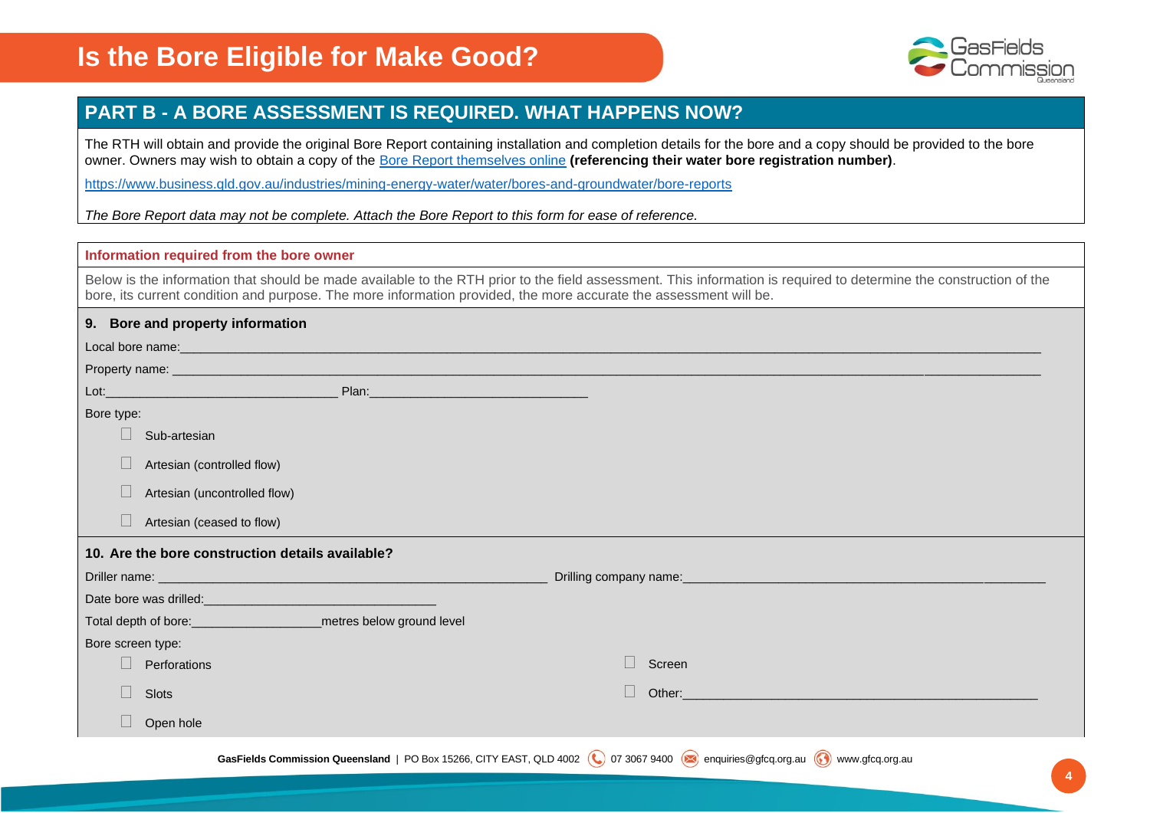

#### **PART B - A BORE ASSESSMENT IS REQUIRED. WHAT HAPPENS NOW?**

The RTH will obtain and provide the original Bore Report containing installation and completion details for the bore and a copy should be provided to the bore owner. Owners may wish to obtain a copy of the [Bore Report themselves online](https://www.business.qld.gov.au/industries/mining-energy-water/water/bores-and-groundwater/bore-reports) **(referencing their water bore registration number)**.

<https://www.business.qld.gov.au/industries/mining-energy-water/water/bores-and-groundwater/bore-reports>

*The Bore Report data may not be complete. Attach the Bore Report to this form for ease of reference.*

#### **Information required from the bore owner**

Below is the information that should be made available to the RTH prior to the field assessment. This information is required to determine the construction of the bore, its current condition and purpose. The more information provided, the more accurate the assessment will be.

| 9. Bore and property information                                                                               |                                                                                                                                                                                                                                         |
|----------------------------------------------------------------------------------------------------------------|-----------------------------------------------------------------------------------------------------------------------------------------------------------------------------------------------------------------------------------------|
| Local bore name: experience and a series of the series of the series of the series of the series of the series |                                                                                                                                                                                                                                         |
|                                                                                                                |                                                                                                                                                                                                                                         |
|                                                                                                                |                                                                                                                                                                                                                                         |
| Bore type:                                                                                                     |                                                                                                                                                                                                                                         |
| Sub-artesian                                                                                                   |                                                                                                                                                                                                                                         |
| Artesian (controlled flow)                                                                                     |                                                                                                                                                                                                                                         |
| Artesian (uncontrolled flow)                                                                                   |                                                                                                                                                                                                                                         |
| Artesian (ceased to flow)                                                                                      |                                                                                                                                                                                                                                         |
| 10. Are the bore construction details available?                                                               |                                                                                                                                                                                                                                         |
| Driller name: The Contract of the Contract of the Contract of the Contract of the Contract of the Contract of  |                                                                                                                                                                                                                                         |
|                                                                                                                |                                                                                                                                                                                                                                         |
| Total depth of bore: _______________________________metres below ground level                                  |                                                                                                                                                                                                                                         |
| Bore screen type:                                                                                              |                                                                                                                                                                                                                                         |
| Perforations                                                                                                   | Screen                                                                                                                                                                                                                                  |
| Slots                                                                                                          | Other: ether and the contract of the contract of the contract of the contract of the contract of the contract of the contract of the contract of the contract of the contract of the contract of the contract of the contract<br>$\Box$ |
| Open hole                                                                                                      |                                                                                                                                                                                                                                         |
|                                                                                                                | GasFields Commission Queensland   PO Box 15266, CITY EAST, QLD 4002 (Q) 07 3067 9400 anquiries@gfcq.org.au (O) www.gfcq.org.au                                                                                                          |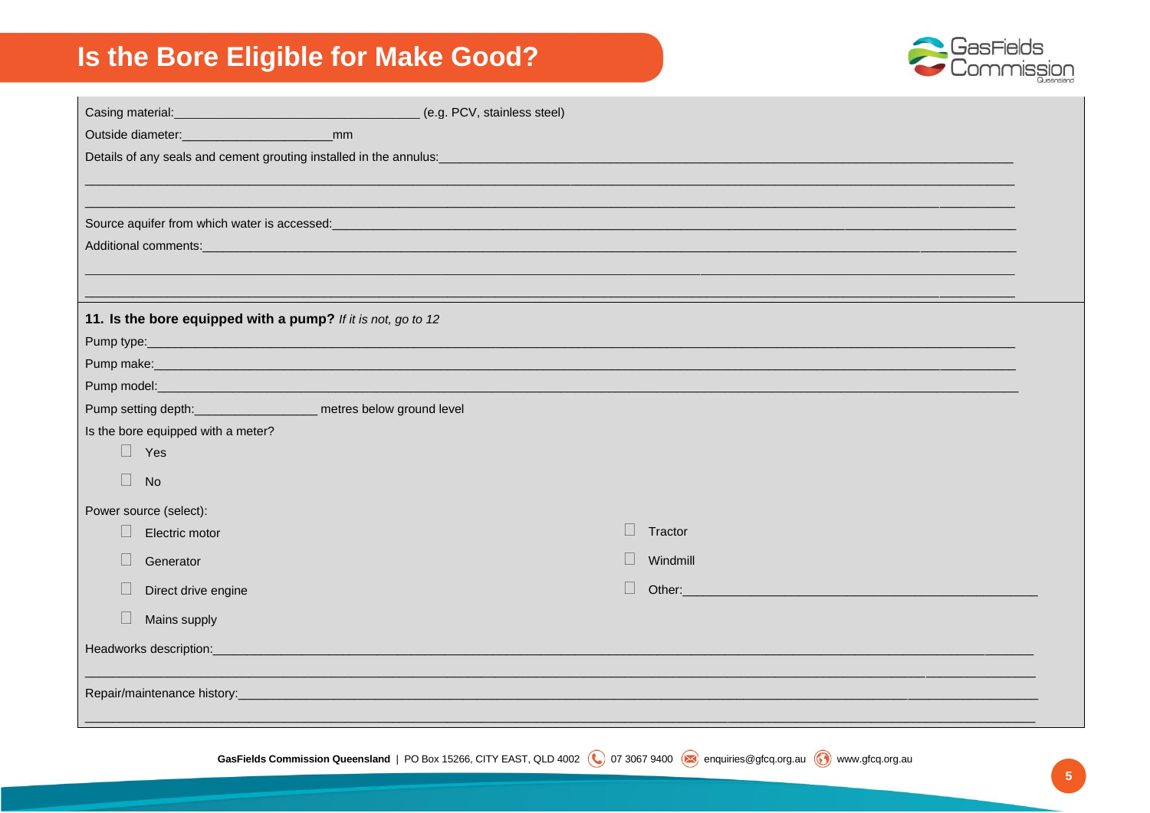

 $5<sup>1</sup>$ 

| (e.g. PCV, stainless steel)                                                                                                                                            |  |
|------------------------------------------------------------------------------------------------------------------------------------------------------------------------|--|
| mm                                                                                                                                                                     |  |
|                                                                                                                                                                        |  |
|                                                                                                                                                                        |  |
|                                                                                                                                                                        |  |
| Source aquifer from which water is accessed:<br><u> 1989 - Johann Barn, mars ann an t-Amhain ann an t-Amhain an t-Amhain an t-Amhain an t-Amhain an t-Amhain an t-</u> |  |
|                                                                                                                                                                        |  |
|                                                                                                                                                                        |  |
|                                                                                                                                                                        |  |
| 11. Is the bore equipped with a pump? If it is not, go to 12                                                                                                           |  |
|                                                                                                                                                                        |  |
|                                                                                                                                                                        |  |
|                                                                                                                                                                        |  |
| Pump setting depth: ____________________ metres below ground level                                                                                                     |  |
| Is the bore equipped with a meter?                                                                                                                                     |  |
| $\Box$ Yes                                                                                                                                                             |  |
| $\Box$<br><b>No</b>                                                                                                                                                    |  |
| Power source (select):                                                                                                                                                 |  |
| Tractor<br>Electric motor                                                                                                                                              |  |
| Windmill<br>Generator                                                                                                                                                  |  |
| $\Box$<br>Other:<br>Direct drive engine                                                                                                                                |  |
| Mains supply                                                                                                                                                           |  |
| Headworks description:_                                                                                                                                                |  |
|                                                                                                                                                                        |  |
|                                                                                                                                                                        |  |
|                                                                                                                                                                        |  |

GasFields Commission Queensland | PO Box 15266, CITY EAST, QLD 4002 (C) 07 3067 9400 anquiries@gfcq.org.au (C) www.gfcq.org.au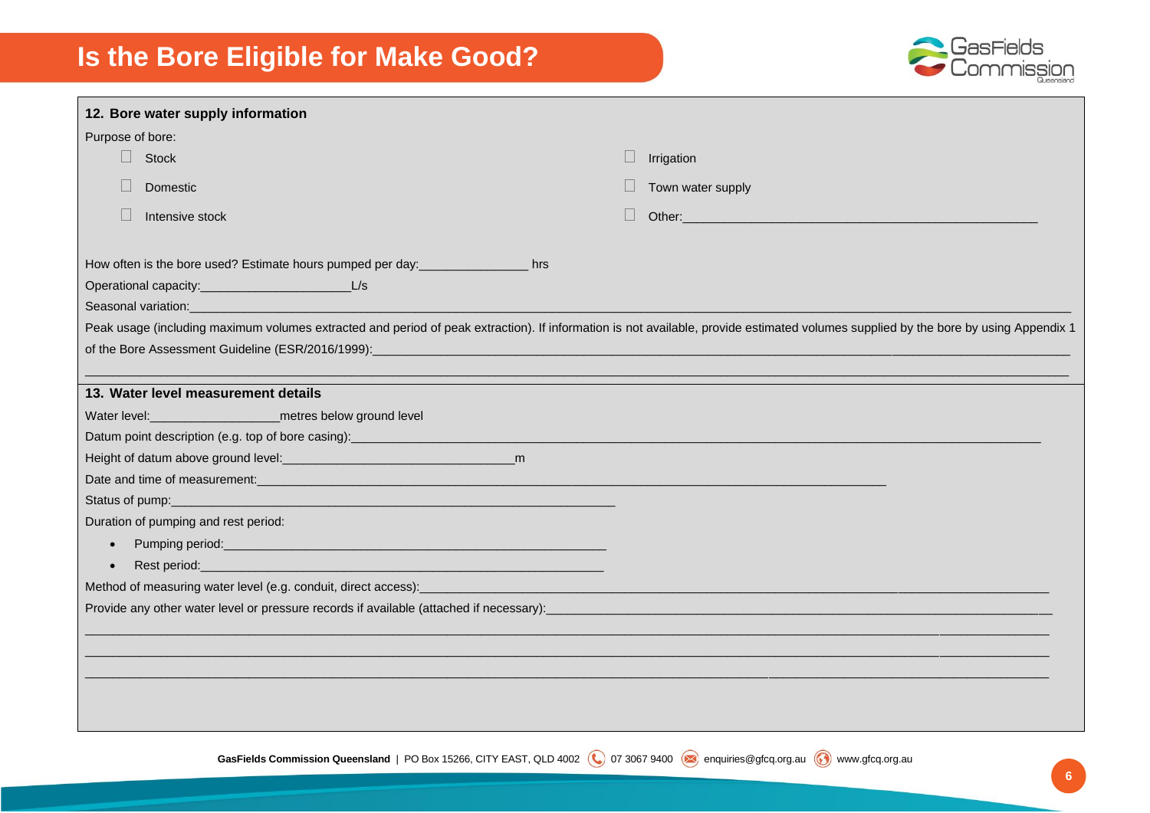

| 12. Bore water supply information                                                                                                                                                                                                                                                                                                                                                                                                                                                                                                                                     |                                                                                                                                                                                                                                |
|-----------------------------------------------------------------------------------------------------------------------------------------------------------------------------------------------------------------------------------------------------------------------------------------------------------------------------------------------------------------------------------------------------------------------------------------------------------------------------------------------------------------------------------------------------------------------|--------------------------------------------------------------------------------------------------------------------------------------------------------------------------------------------------------------------------------|
| Purpose of bore:                                                                                                                                                                                                                                                                                                                                                                                                                                                                                                                                                      |                                                                                                                                                                                                                                |
| $\Box$ Stock                                                                                                                                                                                                                                                                                                                                                                                                                                                                                                                                                          | Irrigation<br>$\Box$                                                                                                                                                                                                           |
| Domestic                                                                                                                                                                                                                                                                                                                                                                                                                                                                                                                                                              | Town water supply                                                                                                                                                                                                              |
| Intensive stock                                                                                                                                                                                                                                                                                                                                                                                                                                                                                                                                                       | Other: West and Contract the Contract of the Contract of the Contract of the Contract of the Contract of the Contract of the Contract of the Contract of the Contract of the Contract of the Contract of the Contract of the C |
| How often is the bore used? Estimate hours pumped per day:_____________________ hrs<br>Seasonal variation:                                                                                                                                                                                                                                                                                                                                                                                                                                                            |                                                                                                                                                                                                                                |
| Peak usage (including maximum volumes extracted and period of peak extraction). If information is not available, provide estimated volumes supplied by the bore by using Appendix 1                                                                                                                                                                                                                                                                                                                                                                                   |                                                                                                                                                                                                                                |
|                                                                                                                                                                                                                                                                                                                                                                                                                                                                                                                                                                       |                                                                                                                                                                                                                                |
| 13. Water level measurement details<br>Datum point description (e.g. top of bore casing): _____________________________<br>Date and time of measurement: example and the state of measurements and time of measurements.<br>Duration of pumping and rest period:<br>Rest period: <u>example and contract and contract and contract and contract and contract and contract and contract of</u><br>$\bullet$<br>Method of measuring water level (e.g. conduit, direct access): entitled and access and a series of measuring water level (e.g. conduit, direct access): |                                                                                                                                                                                                                                |
|                                                                                                                                                                                                                                                                                                                                                                                                                                                                                                                                                                       |                                                                                                                                                                                                                                |
|                                                                                                                                                                                                                                                                                                                                                                                                                                                                                                                                                                       |                                                                                                                                                                                                                                |

GasFields Commission Queensland | PO Box 15266, CITY EAST, QLD 4002 (Q) 07 3067 9400 enquiries@gfcq.org.au (c) www.gfcq.org.au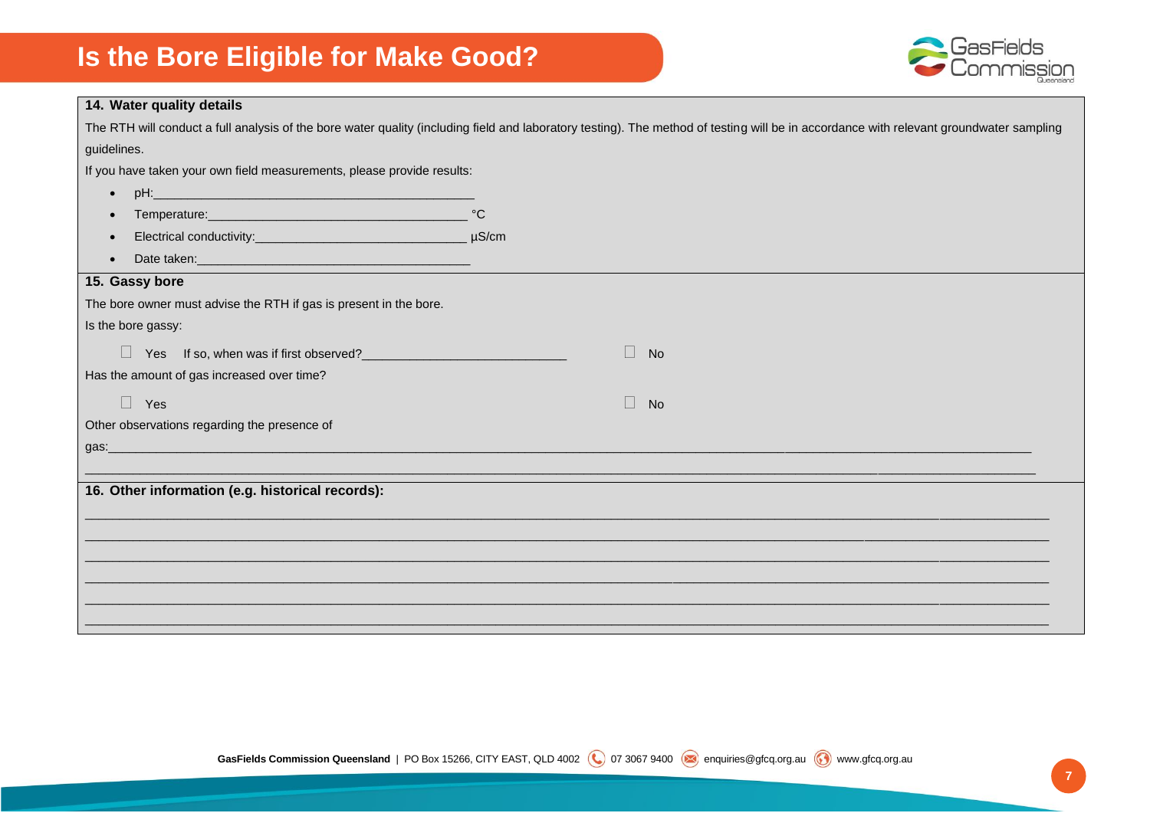

| 14. Water quality details                                                                                                                                |              |                                                                                                                                                                                         |
|----------------------------------------------------------------------------------------------------------------------------------------------------------|--------------|-----------------------------------------------------------------------------------------------------------------------------------------------------------------------------------------|
|                                                                                                                                                          |              | The RTH will conduct a full analysis of the bore water quality (including field and laboratory testing). The method of testing will be in accordance with relevant groundwater sampling |
| guidelines.                                                                                                                                              |              |                                                                                                                                                                                         |
| If you have taken your own field measurements, please provide results:                                                                                   |              |                                                                                                                                                                                         |
| $\bullet$                                                                                                                                                |              |                                                                                                                                                                                         |
|                                                                                                                                                          | $^{\circ}$ C |                                                                                                                                                                                         |
|                                                                                                                                                          | $\mu$ S/cm   |                                                                                                                                                                                         |
|                                                                                                                                                          |              |                                                                                                                                                                                         |
| 15. Gassy bore                                                                                                                                           |              |                                                                                                                                                                                         |
| The bore owner must advise the RTH if gas is present in the bore.                                                                                        |              |                                                                                                                                                                                         |
| Is the bore gassy:                                                                                                                                       |              |                                                                                                                                                                                         |
| Yes If so, when was if first observed?<br>The manufactured of the manufactured of the manufactured of the manufactured of the manufactured of the manufa |              | $\Box$<br>No                                                                                                                                                                            |
| Has the amount of gas increased over time?                                                                                                               |              |                                                                                                                                                                                         |
| $\Box$ Yes                                                                                                                                               |              | $\Box$<br>No                                                                                                                                                                            |
| Other observations regarding the presence of                                                                                                             |              |                                                                                                                                                                                         |
| <u> 1980 - Johann Stoff, Amerikaansk politiker (d. 1980)</u><br>gas:                                                                                     |              |                                                                                                                                                                                         |
|                                                                                                                                                          |              |                                                                                                                                                                                         |
| 16. Other information (e.g. historical records):                                                                                                         |              |                                                                                                                                                                                         |
|                                                                                                                                                          |              |                                                                                                                                                                                         |
|                                                                                                                                                          |              |                                                                                                                                                                                         |
|                                                                                                                                                          |              |                                                                                                                                                                                         |
|                                                                                                                                                          |              |                                                                                                                                                                                         |
|                                                                                                                                                          |              |                                                                                                                                                                                         |
|                                                                                                                                                          |              |                                                                                                                                                                                         |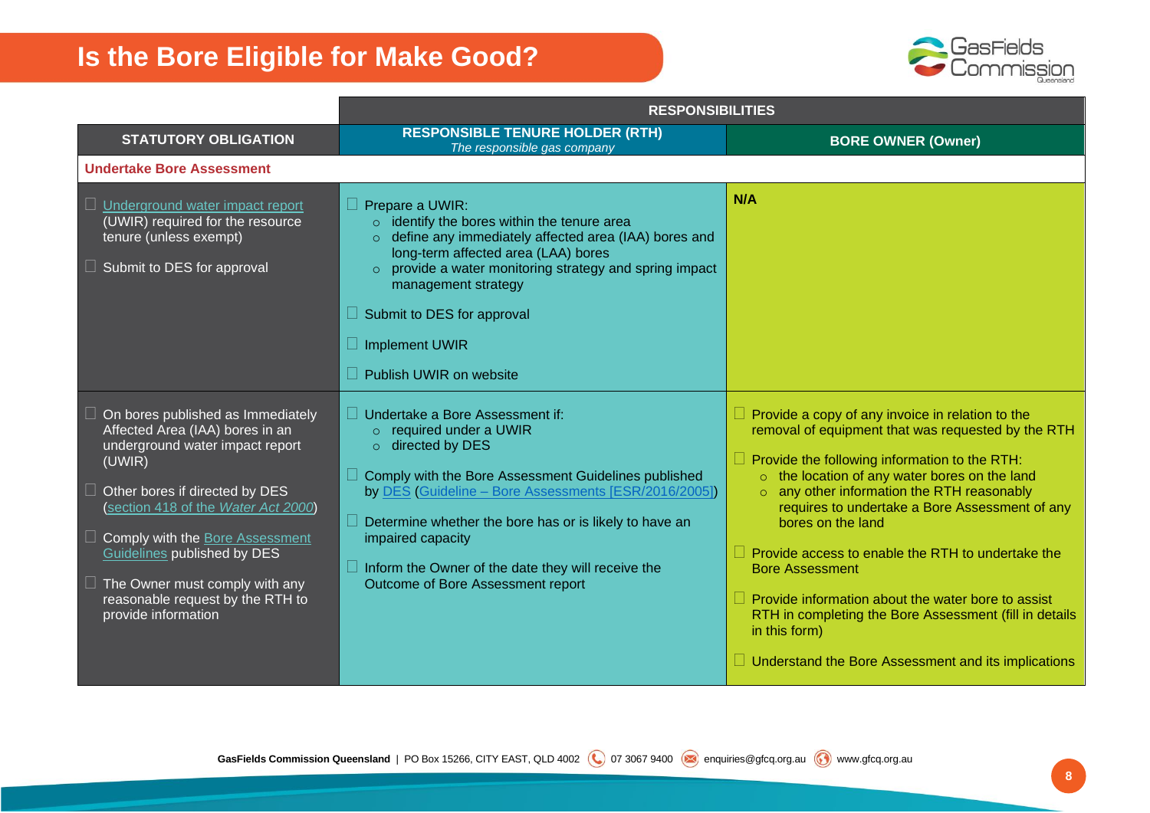

|                                                                                                                                                                                                                                                                                                                                                                                | <b>RESPONSIBILITIES</b>                                                                                                                                                                                                                                                                                                                                                                       |                                                                                                                                                                                                                                                                                                                                                                                                                                                                                                                                                                                                                                               |
|--------------------------------------------------------------------------------------------------------------------------------------------------------------------------------------------------------------------------------------------------------------------------------------------------------------------------------------------------------------------------------|-----------------------------------------------------------------------------------------------------------------------------------------------------------------------------------------------------------------------------------------------------------------------------------------------------------------------------------------------------------------------------------------------|-----------------------------------------------------------------------------------------------------------------------------------------------------------------------------------------------------------------------------------------------------------------------------------------------------------------------------------------------------------------------------------------------------------------------------------------------------------------------------------------------------------------------------------------------------------------------------------------------------------------------------------------------|
| <b>STATUTORY OBLIGATION</b>                                                                                                                                                                                                                                                                                                                                                    | <b>RESPONSIBLE TENURE HOLDER (RTH)</b><br>The responsible gas company                                                                                                                                                                                                                                                                                                                         | <b>BORE OWNER (Owner)</b>                                                                                                                                                                                                                                                                                                                                                                                                                                                                                                                                                                                                                     |
| <b>Undertake Bore Assessment</b>                                                                                                                                                                                                                                                                                                                                               |                                                                                                                                                                                                                                                                                                                                                                                               |                                                                                                                                                                                                                                                                                                                                                                                                                                                                                                                                                                                                                                               |
| $\Box$ Underground water impact report<br>(UWIR) required for the resource<br>tenure (unless exempt)<br>$\Box$ Submit to DES for approval                                                                                                                                                                                                                                      | Prepare a UWIR:<br>$\circ$ identify the bores within the tenure area<br>o define any immediately affected area (IAA) bores and<br>long-term affected area (LAA) bores<br>o provide a water monitoring strategy and spring impact<br>management strategy<br>Submit to DES for approval<br>$\Box$ Implement UWIR<br>Publish UWIR on website                                                     | N/A                                                                                                                                                                                                                                                                                                                                                                                                                                                                                                                                                                                                                                           |
| $\Box$ On bores published as Immediately<br>Affected Area (IAA) bores in an<br>underground water impact report<br>(UWIR)<br>$\Box$ Other bores if directed by DES<br>(section 418 of the Water Act 2000)<br>Comply with the Bore Assessment<br>Guidelines published by DES<br>$\Box$ The Owner must comply with any<br>reasonable request by the RTH to<br>provide information | Undertake a Bore Assessment if:<br>$\circ$ required under a UWIR<br>$\circ$ directed by DES<br>Comply with the Bore Assessment Guidelines published<br>by DES (Guideline - Bore Assessments [ESR/2016/2005])<br>Determine whether the bore has or is likely to have an<br>impaired capacity<br>$\Box$ Inform the Owner of the date they will receive the<br>Outcome of Bore Assessment report | $\Box$ Provide a copy of any invoice in relation to the<br>removal of equipment that was requested by the RTH<br>$\Box$ Provide the following information to the RTH:<br>o the location of any water bores on the land<br>$\circ$ any other information the RTH reasonably<br>requires to undertake a Bore Assessment of any<br>bores on the land<br>$\Box$ Provide access to enable the RTH to undertake the<br><b>Bore Assessment</b><br>$\Box$ Provide information about the water bore to assist<br>RTH in completing the Bore Assessment (fill in details<br>in this form)<br>$\Box$ Understand the Bore Assessment and its implications |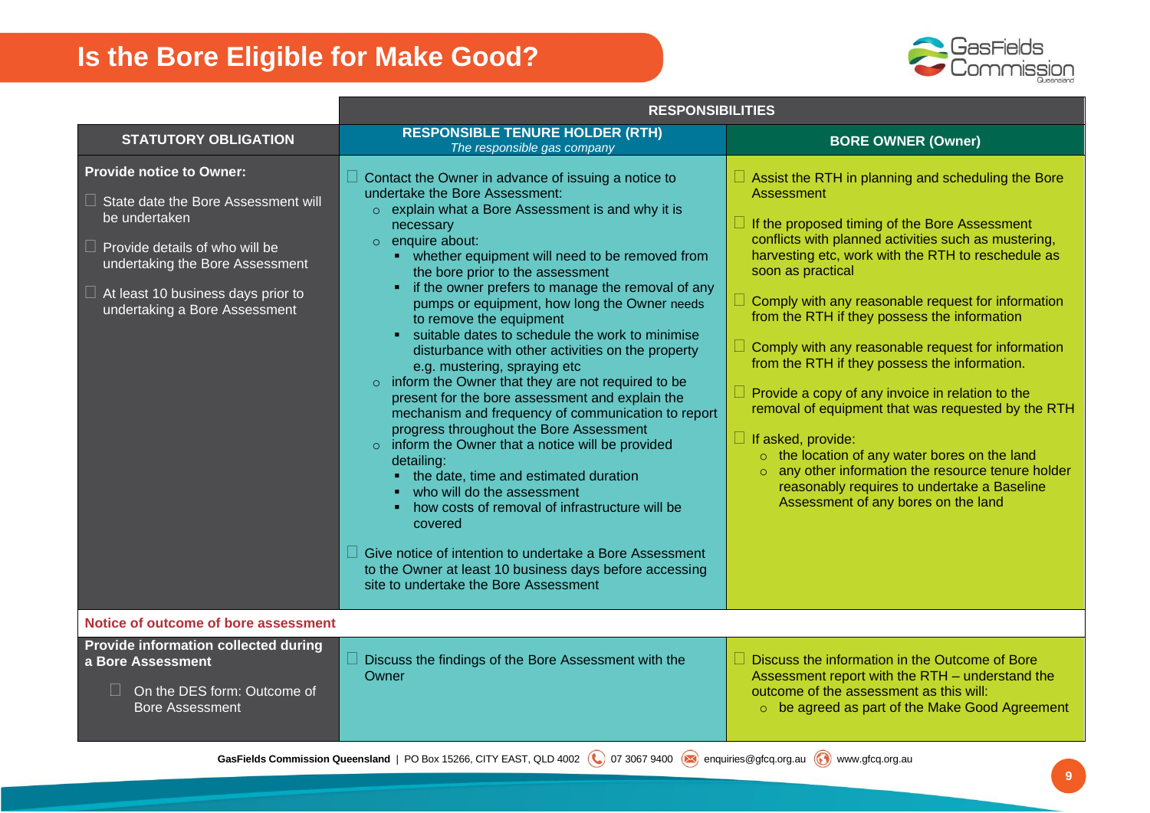

|                                                                                                                                                                                                                                                          | <b>RESPONSIBILITIES</b>                                                                                                                                                                                                                                                                                                                                                                                                                                                                                                                                                                                                                                                                                                                                                                                                                                                                                                                                                                                                                                                                                                                                  |                                                                                                                                                                                                                                                                                                                                                                                                                                                                                                                                                                                                                                                                                                                                                                                                                                                |  |
|----------------------------------------------------------------------------------------------------------------------------------------------------------------------------------------------------------------------------------------------------------|----------------------------------------------------------------------------------------------------------------------------------------------------------------------------------------------------------------------------------------------------------------------------------------------------------------------------------------------------------------------------------------------------------------------------------------------------------------------------------------------------------------------------------------------------------------------------------------------------------------------------------------------------------------------------------------------------------------------------------------------------------------------------------------------------------------------------------------------------------------------------------------------------------------------------------------------------------------------------------------------------------------------------------------------------------------------------------------------------------------------------------------------------------|------------------------------------------------------------------------------------------------------------------------------------------------------------------------------------------------------------------------------------------------------------------------------------------------------------------------------------------------------------------------------------------------------------------------------------------------------------------------------------------------------------------------------------------------------------------------------------------------------------------------------------------------------------------------------------------------------------------------------------------------------------------------------------------------------------------------------------------------|--|
| <b>STATUTORY OBLIGATION</b>                                                                                                                                                                                                                              | <b>RESPONSIBLE TENURE HOLDER (RTH)</b><br>The responsible gas company                                                                                                                                                                                                                                                                                                                                                                                                                                                                                                                                                                                                                                                                                                                                                                                                                                                                                                                                                                                                                                                                                    | <b>BORE OWNER (Owner)</b>                                                                                                                                                                                                                                                                                                                                                                                                                                                                                                                                                                                                                                                                                                                                                                                                                      |  |
| <b>Provide notice to Owner:</b><br>$\Box$ State date the Bore Assessment will<br>be undertaken<br>$\Box$ Provide details of who will be<br>undertaking the Bore Assessment<br>$\Box$ At least 10 business days prior to<br>undertaking a Bore Assessment | Contact the Owner in advance of issuing a notice to<br>undertake the Bore Assessment:<br>$\circ$ explain what a Bore Assessment is and why it is<br>necessary<br>$\circ$ enquire about:<br>• whether equipment will need to be removed from<br>the bore prior to the assessment<br>• if the owner prefers to manage the removal of any<br>pumps or equipment, how long the Owner needs<br>to remove the equipment<br>suitable dates to schedule the work to minimise<br>disturbance with other activities on the property<br>e.g. mustering, spraying etc<br>$\circ$ inform the Owner that they are not required to be<br>present for the bore assessment and explain the<br>mechanism and frequency of communication to report<br>progress throughout the Bore Assessment<br>$\circ$ inform the Owner that a notice will be provided<br>detailing:<br>• the date, time and estimated duration<br>who will do the assessment<br>how costs of removal of infrastructure will be<br>covered<br>Give notice of intention to undertake a Bore Assessment<br>to the Owner at least 10 business days before accessing<br>site to undertake the Bore Assessment | $\Box$ Assist the RTH in planning and scheduling the Bore<br>Assessment<br>$\Box$ If the proposed timing of the Bore Assessment<br>conflicts with planned activities such as mustering,<br>harvesting etc, work with the RTH to reschedule as<br>soon as practical<br>$\Box$ Comply with any reasonable request for information<br>from the RTH if they possess the information<br>$\Box$ Comply with any reasonable request for information<br>from the RTH if they possess the information.<br>$\Box$ Provide a copy of any invoice in relation to the<br>removal of equipment that was requested by the RTH<br>$\Box$ If asked, provide:<br>$\circ$ the location of any water bores on the land<br>o any other information the resource tenure holder<br>reasonably requires to undertake a Baseline<br>Assessment of any bores on the land |  |
| Notice of outcome of bore assessment                                                                                                                                                                                                                     |                                                                                                                                                                                                                                                                                                                                                                                                                                                                                                                                                                                                                                                                                                                                                                                                                                                                                                                                                                                                                                                                                                                                                          |                                                                                                                                                                                                                                                                                                                                                                                                                                                                                                                                                                                                                                                                                                                                                                                                                                                |  |
| Provide information collected during<br>a Bore Assessment<br>On the DES form: Outcome of<br><b>Bore Assessment</b>                                                                                                                                       | Discuss the findings of the Bore Assessment with the<br>Owner                                                                                                                                                                                                                                                                                                                                                                                                                                                                                                                                                                                                                                                                                                                                                                                                                                                                                                                                                                                                                                                                                            | $\Box$ Discuss the information in the Outcome of Bore<br>Assessment report with the RTH - understand the<br>outcome of the assessment as this will:<br>o be agreed as part of the Make Good Agreement                                                                                                                                                                                                                                                                                                                                                                                                                                                                                                                                                                                                                                          |  |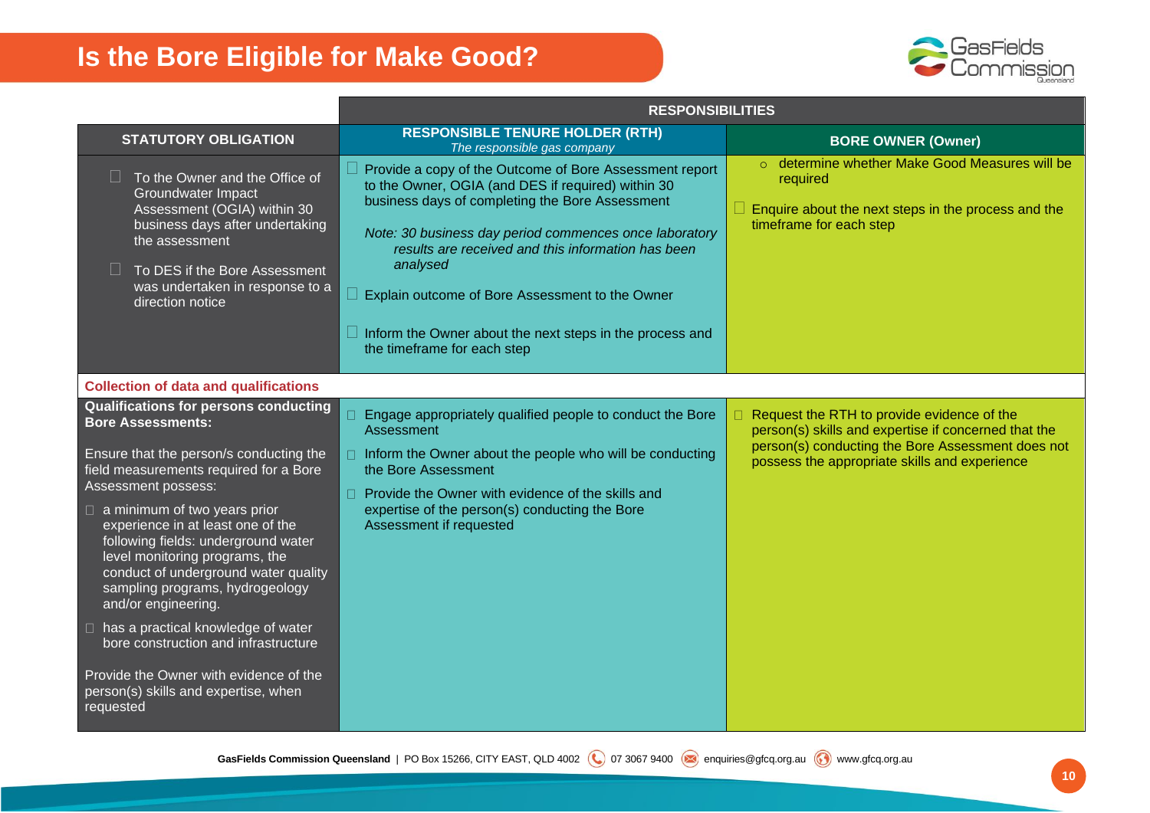

|                                                                                                                                                                                                                                                                                                                                                                                                                                                                                                                                                                                                                            | <b>RESPONSIBILITIES</b>                                                                                                                                                                                                                                                                                                                                                                                                                                  |                                                                                                                                                                                                                 |  |
|----------------------------------------------------------------------------------------------------------------------------------------------------------------------------------------------------------------------------------------------------------------------------------------------------------------------------------------------------------------------------------------------------------------------------------------------------------------------------------------------------------------------------------------------------------------------------------------------------------------------------|----------------------------------------------------------------------------------------------------------------------------------------------------------------------------------------------------------------------------------------------------------------------------------------------------------------------------------------------------------------------------------------------------------------------------------------------------------|-----------------------------------------------------------------------------------------------------------------------------------------------------------------------------------------------------------------|--|
| <b>STATUTORY OBLIGATION</b>                                                                                                                                                                                                                                                                                                                                                                                                                                                                                                                                                                                                | <b>RESPONSIBLE TENURE HOLDER (RTH)</b><br>The responsible gas company                                                                                                                                                                                                                                                                                                                                                                                    | <b>BORE OWNER (Owner)</b>                                                                                                                                                                                       |  |
| To the Owner and the Office of<br>Groundwater Impact<br>Assessment (OGIA) within 30<br>business days after undertaking<br>the assessment<br>To DES if the Bore Assessment<br>was undertaken in response to a<br>direction notice                                                                                                                                                                                                                                                                                                                                                                                           | Provide a copy of the Outcome of Bore Assessment report<br>to the Owner, OGIA (and DES if required) within 30<br>business days of completing the Bore Assessment<br>Note: 30 business day period commences once laboratory<br>results are received and this information has been<br>analysed<br>$\Box$ Explain outcome of Bore Assessment to the Owner<br>$\Box$ Inform the Owner about the next steps in the process and<br>the timeframe for each step | o determine whether Make Good Measures will be<br>required<br>Enquire about the next steps in the process and the<br>timeframe for each step                                                                    |  |
| <b>Collection of data and qualifications</b>                                                                                                                                                                                                                                                                                                                                                                                                                                                                                                                                                                               |                                                                                                                                                                                                                                                                                                                                                                                                                                                          |                                                                                                                                                                                                                 |  |
| <b>Qualifications for persons conducting</b><br><b>Bore Assessments:</b><br>Ensure that the person/s conducting the<br>field measurements required for a Bore<br>Assessment possess:<br>$\Box$ a minimum of two years prior<br>experience in at least one of the<br>following fields: underground water<br>level monitoring programs, the<br>conduct of underground water quality<br>sampling programs, hydrogeology<br>and/or engineering.<br>□ has a practical knowledge of water<br>bore construction and infrastructure<br>Provide the Owner with evidence of the<br>person(s) skills and expertise, when<br>requested | $\Box$ Engage appropriately qualified people to conduct the Bore<br>Assessment<br>$\Box$ Inform the Owner about the people who will be conducting<br>the Bore Assessment<br>□ Provide the Owner with evidence of the skills and<br>expertise of the person(s) conducting the Bore<br>Assessment if requested                                                                                                                                             | $\Box$ Request the RTH to provide evidence of the<br>person(s) skills and expertise if concerned that the<br>person(s) conducting the Bore Assessment does not<br>possess the appropriate skills and experience |  |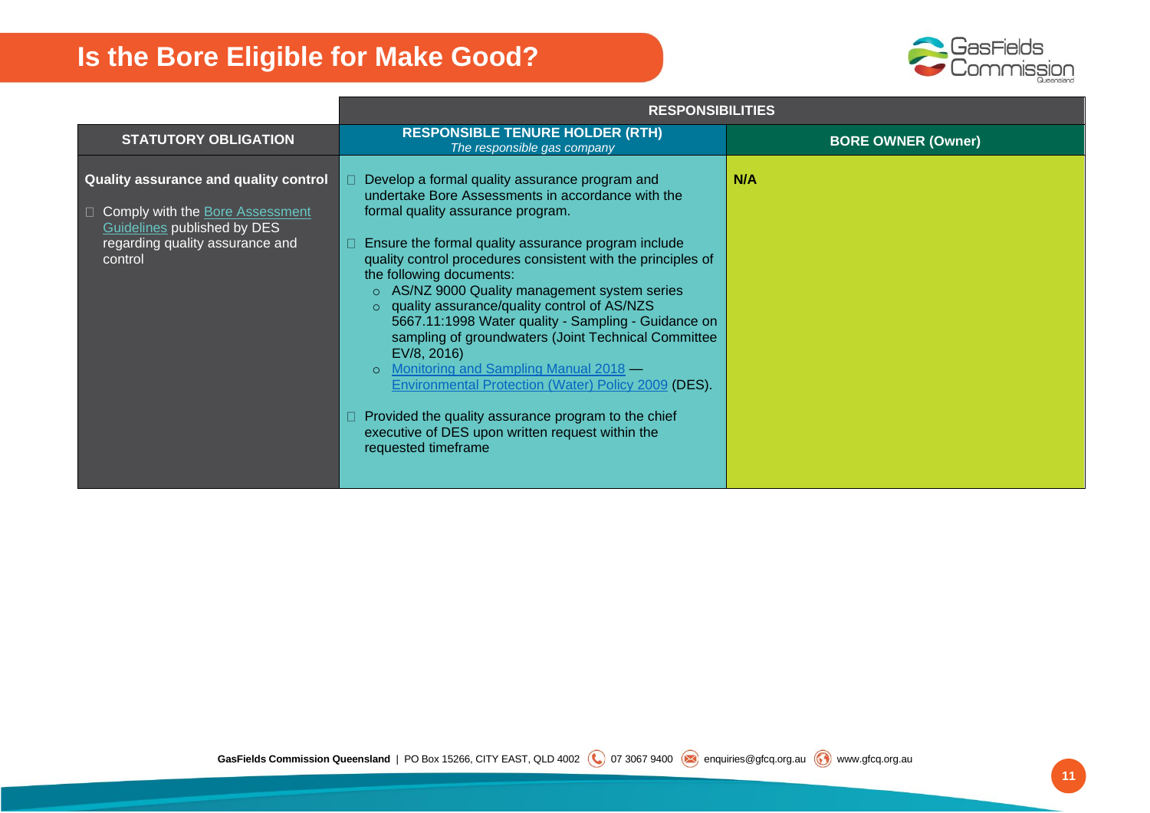

|                                                                                                                                                         | <b>RESPONSIBILITIES</b>                                                                                                                                                                                                                                                                                                                                                                                                                                                                                                                                                                                                                                                                                                                                                                   |                           |  |
|---------------------------------------------------------------------------------------------------------------------------------------------------------|-------------------------------------------------------------------------------------------------------------------------------------------------------------------------------------------------------------------------------------------------------------------------------------------------------------------------------------------------------------------------------------------------------------------------------------------------------------------------------------------------------------------------------------------------------------------------------------------------------------------------------------------------------------------------------------------------------------------------------------------------------------------------------------------|---------------------------|--|
| <b>STATUTORY OBLIGATION</b>                                                                                                                             | <b>RESPONSIBLE TENURE HOLDER (RTH)</b><br>The responsible gas company                                                                                                                                                                                                                                                                                                                                                                                                                                                                                                                                                                                                                                                                                                                     | <b>BORE OWNER (Owner)</b> |  |
| Quality assurance and quality control<br>□ Comply with the Bore Assessment<br>Guidelines published by DES<br>regarding quality assurance and<br>control | Develop a formal quality assurance program and<br>П.<br>undertake Bore Assessments in accordance with the<br>formal quality assurance program.<br>Ensure the formal quality assurance program include<br>П<br>quality control procedures consistent with the principles of<br>the following documents:<br>o AS/NZ 9000 Quality management system series<br>o quality assurance/quality control of AS/NZS<br>5667.11:1998 Water quality - Sampling - Guidance on<br>sampling of groundwaters (Joint Technical Committee<br>EV/8, 2016)<br>Monitoring and Sampling Manual 2018 –<br>$\circ$<br><b>Environmental Protection (Water) Policy 2009 (DES).</b><br>Provided the quality assurance program to the chief<br>executive of DES upon written request within the<br>requested timeframe | N/A                       |  |
|                                                                                                                                                         |                                                                                                                                                                                                                                                                                                                                                                                                                                                                                                                                                                                                                                                                                                                                                                                           |                           |  |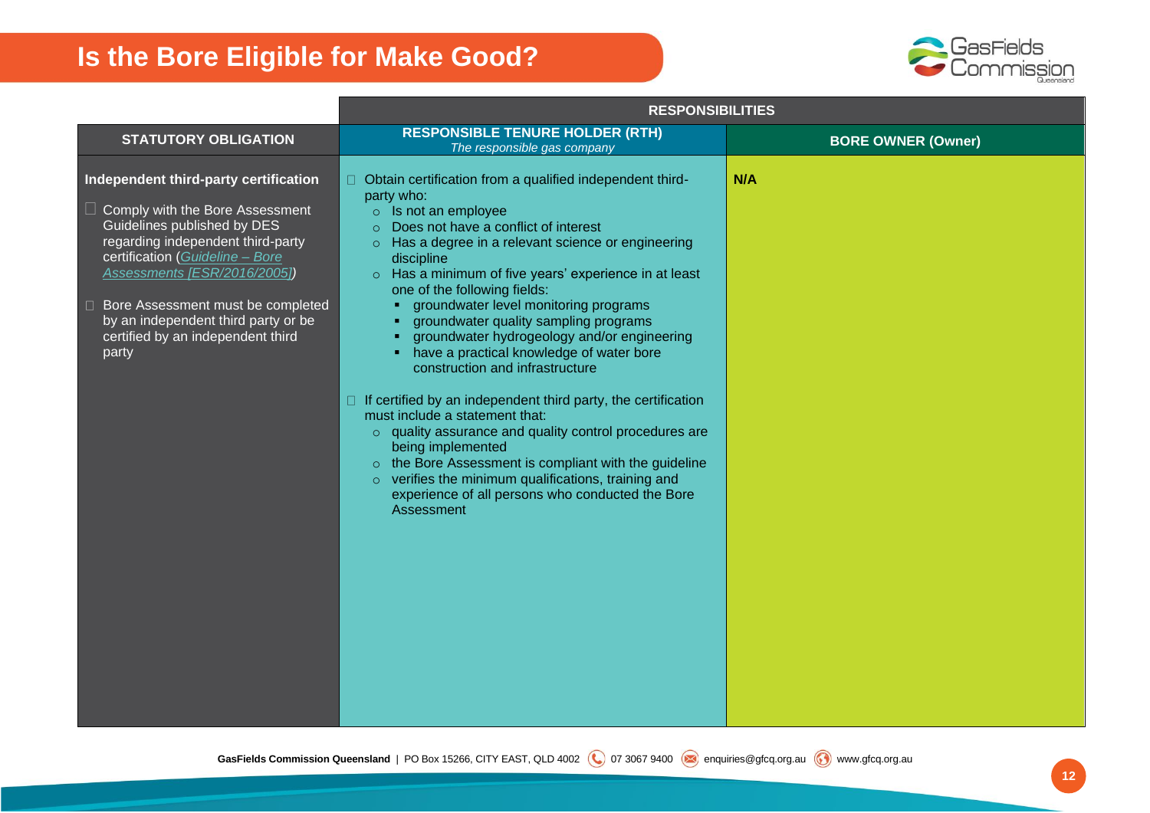

|                                                                                                                                                                                                                                                                                                                                             | <b>RESPONSIBILITIES</b>                                                                                                                                                                                                                                                                                                                                                                                                                                                                                                                                                                                                                                                                                                                                                                                                                                                                                              |                           |
|---------------------------------------------------------------------------------------------------------------------------------------------------------------------------------------------------------------------------------------------------------------------------------------------------------------------------------------------|----------------------------------------------------------------------------------------------------------------------------------------------------------------------------------------------------------------------------------------------------------------------------------------------------------------------------------------------------------------------------------------------------------------------------------------------------------------------------------------------------------------------------------------------------------------------------------------------------------------------------------------------------------------------------------------------------------------------------------------------------------------------------------------------------------------------------------------------------------------------------------------------------------------------|---------------------------|
| <b>STATUTORY OBLIGATION</b>                                                                                                                                                                                                                                                                                                                 | <b>RESPONSIBLE TENURE HOLDER (RTH)</b><br>The responsible gas company                                                                                                                                                                                                                                                                                                                                                                                                                                                                                                                                                                                                                                                                                                                                                                                                                                                | <b>BORE OWNER (Owner)</b> |
| Independent third-party certification<br>Comply with the Bore Assessment<br>Guidelines published by DES<br>regarding independent third-party<br>certification (Guideline - Bore<br>Assessments [ESR/2016/2005])<br>□ Bore Assessment must be completed<br>by an independent third party or be<br>certified by an independent third<br>party | □ Obtain certification from a qualified independent third-<br>party who:<br>$\circ$ Is not an employee<br>Does not have a conflict of interest<br>Has a degree in a relevant science or engineering<br>$\circ$<br>discipline<br>Has a minimum of five years' experience in at least<br>one of the following fields:<br>groundwater level monitoring programs<br>groundwater quality sampling programs<br>groundwater hydrogeology and/or engineering<br>have a practical knowledge of water bore<br>construction and infrastructure<br>$\Box$ If certified by an independent third party, the certification<br>must include a statement that:<br>o quality assurance and quality control procedures are<br>being implemented<br>o the Bore Assessment is compliant with the guideline<br>$\circ$ verifies the minimum qualifications, training and<br>experience of all persons who conducted the Bore<br>Assessment | N/A                       |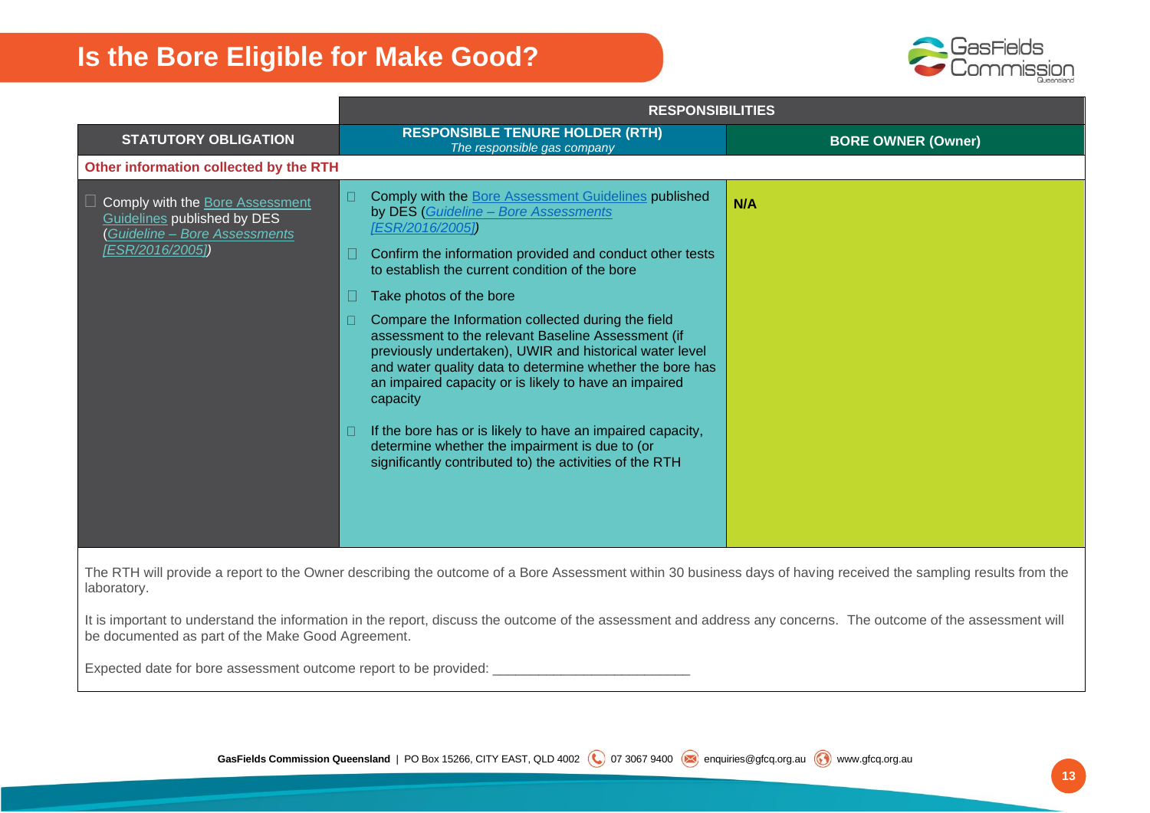

|                                                                                                       | <b>RESPONSIBILITIES</b>                                                                                                                                                                                                                                                                                        |                           |  |
|-------------------------------------------------------------------------------------------------------|----------------------------------------------------------------------------------------------------------------------------------------------------------------------------------------------------------------------------------------------------------------------------------------------------------------|---------------------------|--|
| <b>STATUTORY OBLIGATION</b>                                                                           | <b>RESPONSIBLE TENURE HOLDER (RTH)</b><br>The responsible gas company                                                                                                                                                                                                                                          | <b>BORE OWNER (Owner)</b> |  |
| Other information collected by the RTH                                                                |                                                                                                                                                                                                                                                                                                                |                           |  |
| Comply with the Bore Assessment<br>Guidelines published by DES<br><b>Guideline - Bore Assessments</b> | Comply with the Bore Assessment Guidelines published<br>$\Box$<br>by DES (Guideline - Bore Assessments<br>[ESR/2016/2005])                                                                                                                                                                                     | N/A                       |  |
| [ESR/2016/2005])                                                                                      | Confirm the information provided and conduct other tests<br>to establish the current condition of the bore                                                                                                                                                                                                     |                           |  |
|                                                                                                       | Take photos of the bore                                                                                                                                                                                                                                                                                        |                           |  |
|                                                                                                       | Compare the Information collected during the field<br>$\Box$<br>assessment to the relevant Baseline Assessment (if<br>previously undertaken), UWIR and historical water level<br>and water quality data to determine whether the bore has<br>an impaired capacity or is likely to have an impaired<br>capacity |                           |  |
|                                                                                                       | If the bore has or is likely to have an impaired capacity,<br>$\Box$<br>determine whether the impairment is due to (or<br>significantly contributed to) the activities of the RTH                                                                                                                              |                           |  |

The RTH will provide a report to the Owner describing the outcome of a Bore Assessment within 30 business days of having received the sampling results from the laboratory.

It is important to understand the information in the report, discuss the outcome of the assessment and address any concerns. The outcome of the assessment will be documented as part of the Make Good Agreement.

Expected date for bore assessment outcome report to be provided: